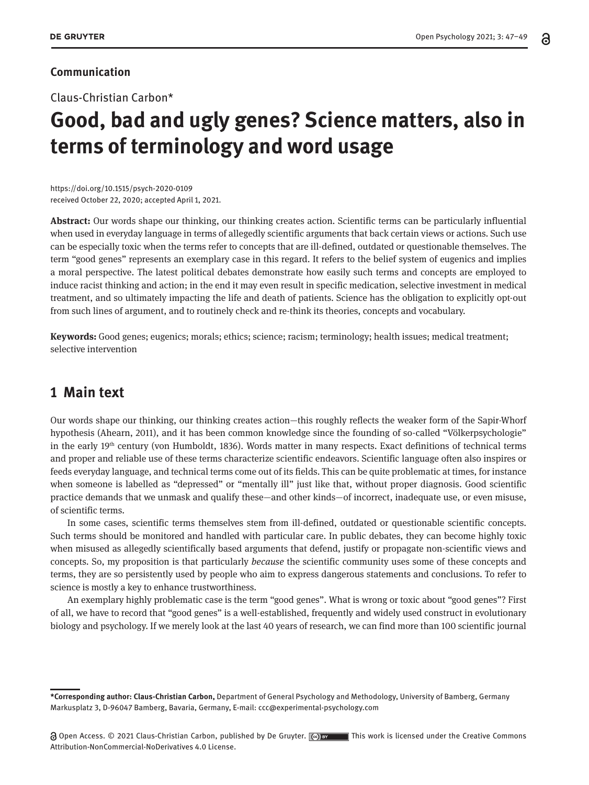## **Communication**

Claus-Christian Carbon\*

## **Good, bad and ugly genes? Science matters, also in terms of terminology and word usage**

https://doi.org/10.1515/psych-2020-0109 received October 22, 2020; accepted April 1, 2021.

**Abstract:** Our words shape our thinking, our thinking creates action. Scientific terms can be particularly influential when used in everyday language in terms of allegedly scientific arguments that back certain views or actions. Such use can be especially toxic when the terms refer to concepts that are ill-defined, outdated or questionable themselves. The term "good genes" represents an exemplary case in this regard. It refers to the belief system of eugenics and implies a moral perspective. The latest political debates demonstrate how easily such terms and concepts are employed to induce racist thinking and action; in the end it may even result in specific medication, selective investment in medical treatment, and so ultimately impacting the life and death of patients. Science has the obligation to explicitly opt-out from such lines of argument, and to routinely check and re-think its theories, concepts and vocabulary.

**Keywords:** Good genes; eugenics; morals; ethics; science; racism; terminology; health issues; medical treatment; selective intervention

## **1 Main text**

Our words shape our thinking, our thinking creates action—this roughly reflects the weaker form of the Sapir-Whorf hypothesis (Ahearn, 2011), and it has been common knowledge since the founding of so-called "Völkerpsychologie" in the early 19th century (von Humboldt, 1836). Words matter in many respects. Exact definitions of technical terms and proper and reliable use of these terms characterize scientific endeavors. Scientific language often also inspires or feeds everyday language, and technical terms come out of its fields. This can be quite problematic at times, for instance when someone is labelled as "depressed" or "mentally ill" just like that, without proper diagnosis. Good scientific practice demands that we unmask and qualify these—and other kinds—of incorrect, inadequate use, or even misuse, of scientific terms.

In some cases, scientific terms themselves stem from ill-defined, outdated or questionable scientific concepts. Such terms should be monitored and handled with particular care. In public debates, they can become highly toxic when misused as allegedly scientifically based arguments that defend, justify or propagate non-scientific views and concepts. So, my proposition is that particularly *because* the scientific community uses some of these concepts and terms, they are so persistently used by people who aim to express dangerous statements and conclusions. To refer to science is mostly a key to enhance trustworthiness.

An exemplary highly problematic case is the term "good genes". What is wrong or toxic about "good genes"? First of all, we have to record that "good genes" is a well-established, frequently and widely used construct in evolutionary biology and psychology. If we merely look at the last 40 years of research, we can find more than 100 scientific journal

**<sup>\*</sup>Corresponding author: Claus-Christian Carbon,** Department of General Psychology and Methodology, University of Bamberg, Germany Markusplatz 3, D-96047 Bamberg, Bavaria, Germany, E-mail: ccc@experimental-psychology.com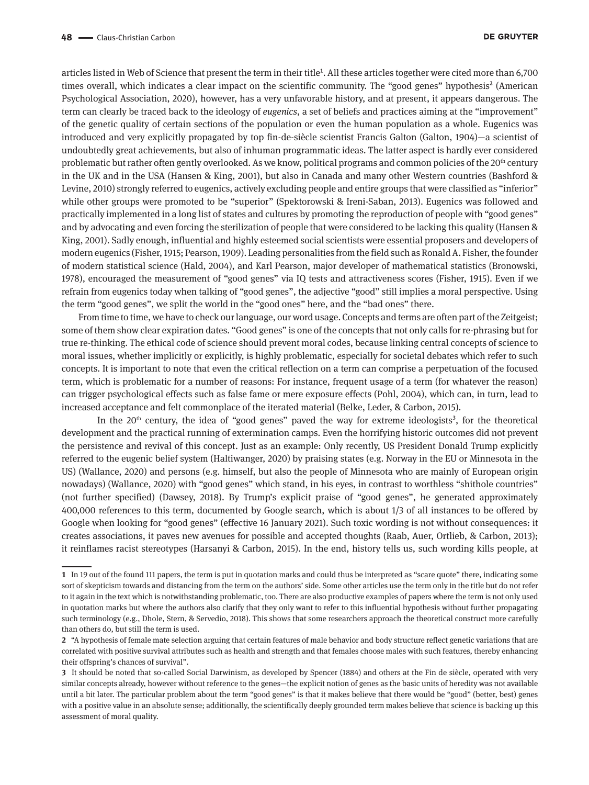articles listed in Web of Science that present the term in their title<sup>1</sup>. All these articles together were cited more than 6,700 times overall, which indicates a clear impact on the scientific community. The "good genes" hypothesis<sup>2</sup> (American Psychological Association, 2020), however, has a very unfavorable history, and at present, it appears dangerous. The term can clearly be traced back to the ideology of *eugenics*, a set of beliefs and practices aiming at the "improvement" of the genetic quality of certain sections of the population or even the human population as a whole. Eugenics was introduced and very explicitly propagated by top fin-de-siècle scientist Francis Galton (Galton, 1904)—a scientist of undoubtedly great achievements, but also of inhuman programmatic ideas. The latter aspect is hardly ever considered problematic but rather often gently overlooked. As we know, political programs and common policies of the 20<sup>th</sup> century in the UK and in the USA (Hansen & King, 2001), but also in Canada and many other Western countries (Bashford & Levine, 2010) strongly referred to eugenics, actively excluding people and entire groups that were classified as "inferior" while other groups were promoted to be "superior" (Spektorowski & Ireni-Saban, 2013). Eugenics was followed and practically implemented in a long list of states and cultures by promoting the reproduction of people with "good genes" and by advocating and even forcing the sterilization of people that were considered to be lacking this quality (Hansen & King, 2001). Sadly enough, influential and highly esteemed social scientists were essential proposers and developers of modern eugenics (Fisher, 1915; Pearson, 1909). Leading personalities from the field such as Ronald A. Fisher, the founder of modern statistical science (Hald, 2004), and Karl Pearson, major developer of mathematical statistics (Bronowski, 1978), encouraged the measurement of "good genes" via IQ tests and attractiveness scores (Fisher, 1915). Even if we refrain from eugenics today when talking of "good genes", the adjective "good" still implies a moral perspective. Using the term "good genes", we split the world in the "good ones" here, and the "bad ones" there.

From time to time, we have to check our language, our word usage. Concepts and terms are often part of the Zeitgeist; some of them show clear expiration dates. "Good genes" is one of the concepts that not only calls for re-phrasing but for true re-thinking. The ethical code of science should prevent moral codes, because linking central concepts of science to moral issues, whether implicitly or explicitly, is highly problematic, especially for societal debates which refer to such concepts. It is important to note that even the critical reflection on a term can comprise a perpetuation of the focused term, which is problematic for a number of reasons: For instance, frequent usage of a term (for whatever the reason) can trigger psychological effects such as false fame or mere exposure effects (Pohl, 2004), which can, in turn, lead to increased acceptance and felt commonplace of the iterated material (Belke, Leder, & Carbon, 2015).

In the  $20<sup>th</sup>$  century, the idea of "good genes" paved the way for extreme ideologists<sup>3</sup>, for the theoretical development and the practical running of extermination camps. Even the horrifying historic outcomes did not prevent the persistence and revival of this concept. Just as an example: Only recently, US President Donald Trump explicitly referred to the eugenic belief system (Haltiwanger, 2020) by praising states (e.g. Norway in the EU or Minnesota in the US) (Wallance, 2020) and persons (e.g. himself, but also the people of Minnesota who are mainly of European origin nowadays) (Wallance, 2020) with "good genes" which stand, in his eyes, in contrast to worthless "shithole countries" (not further specified) (Dawsey, 2018). By Trump's explicit praise of "good genes", he generated approximately 400,000 references to this term, documented by Google search, which is about 1/3 of all instances to be offered by Google when looking for "good genes" (effective 16 January 2021). Such toxic wording is not without consequences: it creates associations, it paves new avenues for possible and accepted thoughts (Raab, Auer, Ortlieb, & Carbon, 2013); it reinflames racist stereotypes (Harsanyi & Carbon, 2015). In the end, history tells us, such wording kills people, at

**<sup>1</sup>** In 19 out of the found 111 papers, the term is put in quotation marks and could thus be interpreted as "scare quote" there, indicating some sort of skepticism towards and distancing from the term on the authors' side. Some other articles use the term only in the title but do not refer to it again in the text which is notwithstanding problematic, too. There are also productive examples of papers where the term is not only used in quotation marks but where the authors also clarify that they only want to refer to this influential hypothesis without further propagating such terminology (e.g., Dhole, Stern, & Servedio, 2018). This shows that some researchers approach the theoretical construct more carefully than others do, but still the term is used.

**<sup>2</sup>** "A hypothesis of female mate selection arguing that certain features of male behavior and body structure reflect genetic variations that are correlated with positive survival attributes such as health and strength and that females choose males with such features, thereby enhancing their offspring's chances of survival".

**<sup>3</sup>** It should be noted that so-called Social Darwinism, as developed by Spencer (1884) and others at the Fin de siècle, operated with very similar concepts already, however without reference to the genes—the explicit notion of genes as the basic units of heredity was not available until a bit later. The particular problem about the term "good genes" is that it makes believe that there would be "good" (better, best) genes with a positive value in an absolute sense; additionally, the scientifically deeply grounded term makes believe that science is backing up this assessment of moral quality.